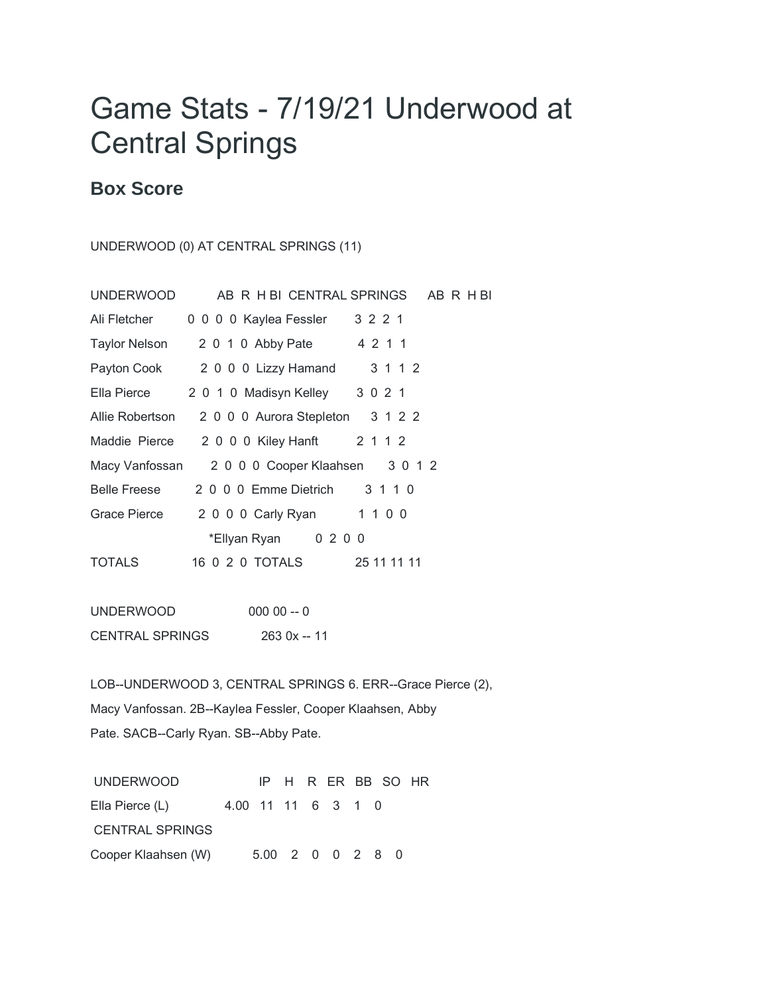## Game Stats - 7/19/21 Underwood at Central Springs

## **Box Score**

UNDERWOOD (0) AT CENTRAL SPRINGS (11)

| <b>UNDERWOOD</b>     |                                         | AB R H BI CENTRAL SPRINGS AB R H BI |
|----------------------|-----------------------------------------|-------------------------------------|
| Ali Fletcher         | 0 0 0 0 Kaylea Fessler                  | 3 2 2 1                             |
|                      | Taylor Nelson 2 0 1 0 Abby Pate 4 2 1 1 |                                     |
|                      | Payton Cook 2 0 0 0 Lizzy Hamand        | 3 1 1 2                             |
| Ella Pierce          | 2 0 1 0 Madisyn Kelley                  | 3 0 2 1                             |
| Allie Robertson      | 2 0 0 0 Aurora Stepleton 3 1 2 2        |                                     |
| Maddie Pierce        | 2 0 0 0 Kiley Hanft 2 1 1 2             |                                     |
| Macy Vanfossan       | 2 0 0 0 Cooper Klaahsen 3 0 1 2         |                                     |
| Belle Freese         | 2 0 0 0 Emme Dietrich                   | 3 1 1 0                             |
| Grace Pierce         | 2 0 0 0 Carly Ryan 1 1 0 0              |                                     |
| *Ellyan Ryan 0 2 0 0 |                                         |                                     |
| <b>TOTALS</b>        |                                         | 25 11 11 11                         |
|                      |                                         |                                     |

UNDERWOOD 000 00 -- 0 CENTRAL SPRINGS 263 0x -- 11

LOB--UNDERWOOD 3, CENTRAL SPRINGS 6. ERR--Grace Pierce (2), Macy Vanfossan. 2B--Kaylea Fessler, Cooper Klaahsen, Abby Pate. SACB--Carly Ryan. SB--Abby Pate.

UNDERWOOD IP H R ER BB SO HR Ella Pierce (L) 4.00 11 11 6 3 1 0 CENTRAL SPRINGS Cooper Klaahsen (W) 5.00 2 0 0 2 8 0